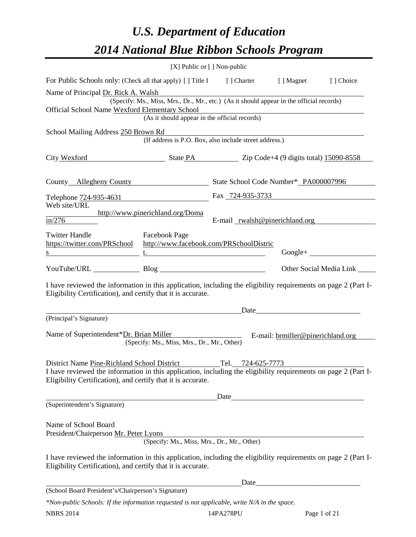# *U.S. Department of Education 2014 National Blue Ribbon Schools Program*

|                                                                                                                                                                                                                               |                                                                                          | [X] Public or [] Non-public    |                                   |                            |
|-------------------------------------------------------------------------------------------------------------------------------------------------------------------------------------------------------------------------------|------------------------------------------------------------------------------------------|--------------------------------|-----------------------------------|----------------------------|
| For Public Schools only: (Check all that apply) [] Title I [] Charter [] Magnet                                                                                                                                               |                                                                                          |                                |                                   | [] Choice                  |
| Name of Principal Dr. Rick A. Walsh                                                                                                                                                                                           |                                                                                          |                                |                                   |                            |
|                                                                                                                                                                                                                               | (Specify: Ms., Miss, Mrs., Dr., Mr., etc.) (As it should appear in the official records) |                                |                                   |                            |
| Official School Name Wexford Elementary School                                                                                                                                                                                | (As it should appear in the official records)                                            |                                |                                   |                            |
|                                                                                                                                                                                                                               |                                                                                          |                                |                                   |                            |
| School Mailing Address 250 Brown Rd                                                                                                                                                                                           | (If address is P.O. Box, also include street address.)                                   |                                |                                   |                            |
|                                                                                                                                                                                                                               |                                                                                          |                                |                                   |                            |
| City Wexford State PA Zip Code+4 (9 digits total) 15090-8558                                                                                                                                                                  |                                                                                          |                                |                                   |                            |
|                                                                                                                                                                                                                               |                                                                                          |                                |                                   |                            |
| County Allegheny County State School Code Number* PA000007996                                                                                                                                                                 |                                                                                          |                                |                                   |                            |
| Telephone 724-935-4631<br>Fax 724-935-3733                                                                                                                                                                                    |                                                                                          |                                |                                   |                            |
| Web site/URL                                                                                                                                                                                                                  |                                                                                          |                                |                                   |                            |
| in/276                                                                                                                                                                                                                        | http://www.pinerichland.org/Doma                                                         | E-mail rwalsh@pinerichland.org |                                   |                            |
| <b>Twitter Handle</b>                                                                                                                                                                                                         |                                                                                          |                                |                                   |                            |
| https://twitter.com/PRSchool http://www.facebook.com/PRSchoolDistric                                                                                                                                                          | <b>Facebook Page</b>                                                                     |                                |                                   |                            |
|                                                                                                                                                                                                                               |                                                                                          |                                |                                   | $Google + \_$              |
| YouTube/URL Blog Blog                                                                                                                                                                                                         |                                                                                          |                                |                                   | Other Social Media Link __ |
| I have reviewed the information in this application, including the eligibility requirements on page 2 (Part I-<br>Eligibility Certification), and certify that it is accurate.                                                |                                                                                          |                                |                                   |                            |
|                                                                                                                                                                                                                               |                                                                                          |                                | $Date$ $\qquad \qquad$            |                            |
| (Principal's Signature)                                                                                                                                                                                                       |                                                                                          |                                |                                   |                            |
| Name of Superintendent*Dr. Brian Miller                                                                                                                                                                                       | (Specify: Ms., Miss, Mrs., Dr., Mr., Other)                                              |                                | E-mail: brmiller@pinerichland.org |                            |
|                                                                                                                                                                                                                               |                                                                                          |                                |                                   |                            |
| District Name Pine-Richland School District<br>I have reviewed the information in this application, including the eligibility requirements on page 2 (Part I-<br>Eligibility Certification), and certify that it is accurate. |                                                                                          | Tel.<br><u>724-625-7773</u>    |                                   |                            |
|                                                                                                                                                                                                                               |                                                                                          | Date                           |                                   |                            |
| (Superintendent's Signature)                                                                                                                                                                                                  |                                                                                          |                                |                                   |                            |
| Name of School Board<br>President/Chairperson Mr. Peter Lyons                                                                                                                                                                 | (Specify: Ms., Miss, Mrs., Dr., Mr., Other)                                              |                                |                                   |                            |
| I have reviewed the information in this application, including the eligibility requirements on page 2 (Part I-<br>Eligibility Certification), and certify that it is accurate.                                                |                                                                                          |                                |                                   |                            |
|                                                                                                                                                                                                                               |                                                                                          |                                |                                   |                            |
| (School Board President's/Chairperson's Signature)                                                                                                                                                                            |                                                                                          |                                |                                   |                            |
| *Non-public Schools: If the information requested is not applicable, write N/A in the space.                                                                                                                                  |                                                                                          |                                |                                   |                            |

NBRS 2014 14PA278PU Page 1 of 21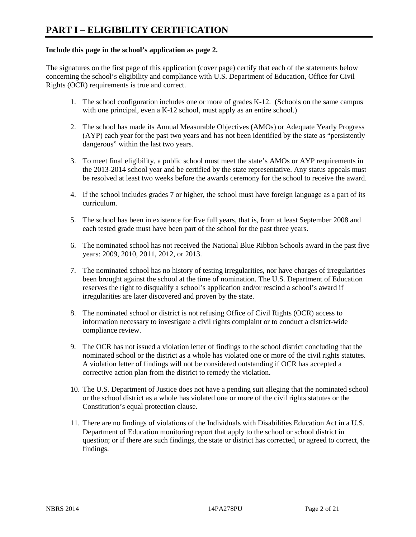#### **Include this page in the school's application as page 2.**

The signatures on the first page of this application (cover page) certify that each of the statements below concerning the school's eligibility and compliance with U.S. Department of Education, Office for Civil Rights (OCR) requirements is true and correct.

- 1. The school configuration includes one or more of grades K-12. (Schools on the same campus with one principal, even a K-12 school, must apply as an entire school.)
- 2. The school has made its Annual Measurable Objectives (AMOs) or Adequate Yearly Progress (AYP) each year for the past two years and has not been identified by the state as "persistently dangerous" within the last two years.
- 3. To meet final eligibility, a public school must meet the state's AMOs or AYP requirements in the 2013-2014 school year and be certified by the state representative. Any status appeals must be resolved at least two weeks before the awards ceremony for the school to receive the award.
- 4. If the school includes grades 7 or higher, the school must have foreign language as a part of its curriculum.
- 5. The school has been in existence for five full years, that is, from at least September 2008 and each tested grade must have been part of the school for the past three years.
- 6. The nominated school has not received the National Blue Ribbon Schools award in the past five years: 2009, 2010, 2011, 2012, or 2013.
- 7. The nominated school has no history of testing irregularities, nor have charges of irregularities been brought against the school at the time of nomination. The U.S. Department of Education reserves the right to disqualify a school's application and/or rescind a school's award if irregularities are later discovered and proven by the state.
- 8. The nominated school or district is not refusing Office of Civil Rights (OCR) access to information necessary to investigate a civil rights complaint or to conduct a district-wide compliance review.
- 9. The OCR has not issued a violation letter of findings to the school district concluding that the nominated school or the district as a whole has violated one or more of the civil rights statutes. A violation letter of findings will not be considered outstanding if OCR has accepted a corrective action plan from the district to remedy the violation.
- 10. The U.S. Department of Justice does not have a pending suit alleging that the nominated school or the school district as a whole has violated one or more of the civil rights statutes or the Constitution's equal protection clause.
- 11. There are no findings of violations of the Individuals with Disabilities Education Act in a U.S. Department of Education monitoring report that apply to the school or school district in question; or if there are such findings, the state or district has corrected, or agreed to correct, the findings.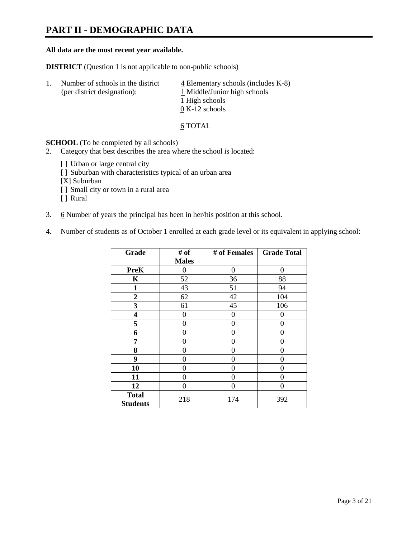## **PART II - DEMOGRAPHIC DATA**

#### **All data are the most recent year available.**

**DISTRICT** (Question 1 is not applicable to non-public schools)

| -1. | Number of schools in the district<br>(per district designation): | $\frac{4}{5}$ Elementary schools (includes K-8)<br>1 Middle/Junior high schools |  |  |
|-----|------------------------------------------------------------------|---------------------------------------------------------------------------------|--|--|
|     |                                                                  | 1 High schools                                                                  |  |  |
|     |                                                                  | $0 K-12$ schools                                                                |  |  |

6 TOTAL

**SCHOOL** (To be completed by all schools)

- 2. Category that best describes the area where the school is located:
	- [] Urban or large central city
	- [ ] Suburban with characteristics typical of an urban area
	- [X] Suburban
	- [ ] Small city or town in a rural area
	- [ ] Rural
- 3. 6 Number of years the principal has been in her/his position at this school.
- 4. Number of students as of October 1 enrolled at each grade level or its equivalent in applying school:

| Grade                           | # of         | # of Females | <b>Grade Total</b> |
|---------------------------------|--------------|--------------|--------------------|
|                                 | <b>Males</b> |              |                    |
| <b>PreK</b>                     | 0            | $\theta$     | $\Omega$           |
| K                               | 52           | 36           | 88                 |
| $\mathbf{1}$                    | 43           | 51           | 94                 |
| $\mathbf{2}$                    | 62           | 42           | 104                |
| 3                               | 61           | 45           | 106                |
| 4                               | 0            | 0            | $_{0}$             |
| 5                               | 0            | $\Omega$     | 0                  |
| 6                               | 0            | 0            | 0                  |
| 7                               | 0            | 0            | 0                  |
| 8                               | 0            | 0            | 0                  |
| 9                               | 0            | 0            | 0                  |
| 10                              | 0            | $\Omega$     | 0                  |
| 11                              | 0            | 0            | 0                  |
| 12                              | 0            | $\Omega$     | 0                  |
| <b>Total</b><br><b>Students</b> | 218          | 174          | 392                |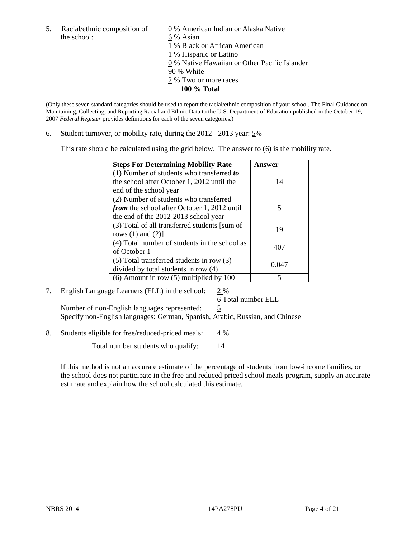the school: 6 % Asian

5. Racial/ethnic composition of  $\qquad \qquad \underline{0}$  % American Indian or Alaska Native 1 % Black or African American 1 % Hispanic or Latino 0 % Native Hawaiian or Other Pacific Islander 90 % White 2 % Two or more races **100 % Total**

(Only these seven standard categories should be used to report the racial/ethnic composition of your school. The Final Guidance on Maintaining, Collecting, and Reporting Racial and Ethnic Data to the U.S. Department of Education published in the October 19, 2007 *Federal Register* provides definitions for each of the seven categories.)

6. Student turnover, or mobility rate, during the 2012 - 2013 year: 5%

This rate should be calculated using the grid below. The answer to (6) is the mobility rate.

| <b>Steps For Determining Mobility Rate</b>         | Answer |
|----------------------------------------------------|--------|
| (1) Number of students who transferred to          |        |
| the school after October 1, 2012 until the         | 14     |
| end of the school year                             |        |
| (2) Number of students who transferred             |        |
| <i>from</i> the school after October 1, 2012 until | 5      |
| the end of the 2012-2013 school year               |        |
| (3) Total of all transferred students [sum of      | 19     |
| rows $(1)$ and $(2)$ ]                             |        |
| (4) Total number of students in the school as      | 407    |
| of October 1                                       |        |
| (5) Total transferred students in row (3)          | 0.047  |
| divided by total students in row (4)               |        |
| $(6)$ Amount in row $(5)$ multiplied by 100        |        |

#### 7. English Language Learners (ELL) in the school: 2 % 6 Total number ELL

Number of non-English languages represented: 5 Specify non-English languages: German, Spanish, Arabic, Russian, and Chinese

8. Students eligible for free/reduced-priced meals:  $4\%$ 

Total number students who qualify:  $\frac{14}{14}$ 

If this method is not an accurate estimate of the percentage of students from low-income families, or the school does not participate in the free and reduced-priced school meals program, supply an accurate estimate and explain how the school calculated this estimate.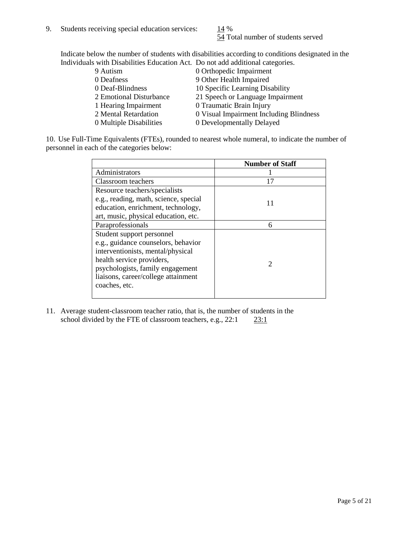54 Total number of students served

Indicate below the number of students with disabilities according to conditions designated in the Individuals with Disabilities Education Act. Do not add additional categories.

| 9 Autism                | 0 Orthopedic Impairment                 |
|-------------------------|-----------------------------------------|
| 0 Deafness              | 9 Other Health Impaired                 |
| 0 Deaf-Blindness        | 10 Specific Learning Disability         |
| 2 Emotional Disturbance | 21 Speech or Language Impairment        |
| 1 Hearing Impairment    | 0 Traumatic Brain Injury                |
| 2 Mental Retardation    | 0 Visual Impairment Including Blindness |
| 0 Multiple Disabilities | 0 Developmentally Delayed               |
|                         |                                         |

10. Use Full-Time Equivalents (FTEs), rounded to nearest whole numeral, to indicate the number of personnel in each of the categories below:

|                                       | <b>Number of Staff</b> |
|---------------------------------------|------------------------|
| Administrators                        |                        |
| Classroom teachers                    | 17                     |
| Resource teachers/specialists         |                        |
| e.g., reading, math, science, special |                        |
| education, enrichment, technology,    |                        |
| art, music, physical education, etc.  |                        |
| Paraprofessionals                     | 6                      |
| Student support personnel             |                        |
| e.g., guidance counselors, behavior   |                        |
| interventionists, mental/physical     |                        |
| health service providers,             |                        |
| psychologists, family engagement      |                        |
| liaisons, career/college attainment   |                        |
| coaches, etc.                         |                        |
|                                       |                        |

11. Average student-classroom teacher ratio, that is, the number of students in the school divided by the FTE of classroom teachers, e.g.,  $22:1$   $23:1$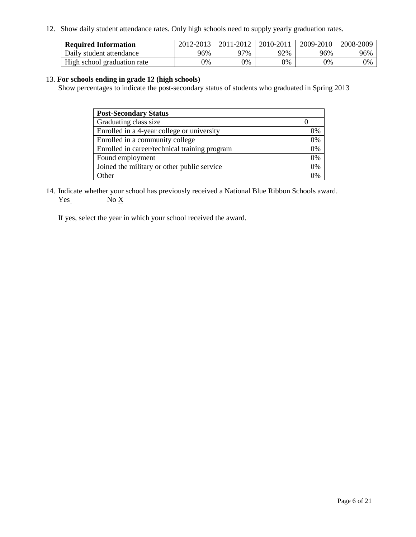12. Show daily student attendance rates. Only high schools need to supply yearly graduation rates.

| <b>Required Information</b> | 2012-2013 | 2011-2012 | 2010-2011 | 2009-2010 | 2008-2009 |
|-----------------------------|-----------|-----------|-----------|-----------|-----------|
| Daily student attendance    | 96%       | 97%       | 92%       | 96%       | 96%       |
| High school graduation rate | 0%        | 9%        | 0%        | 0%        | 0%        |

#### 13. **For schools ending in grade 12 (high schools)**

Show percentages to indicate the post-secondary status of students who graduated in Spring 2013

| <b>Post-Secondary Status</b>                  |    |
|-----------------------------------------------|----|
| Graduating class size                         |    |
| Enrolled in a 4-year college or university    | 0% |
| Enrolled in a community college               | 0% |
| Enrolled in career/technical training program | 0% |
| Found employment                              | 0% |
| Joined the military or other public service   | 0% |
| <b>)</b> ther                                 | 2% |

14. Indicate whether your school has previously received a National Blue Ribbon Schools award.  $Yes$  No  $X$ 

If yes, select the year in which your school received the award.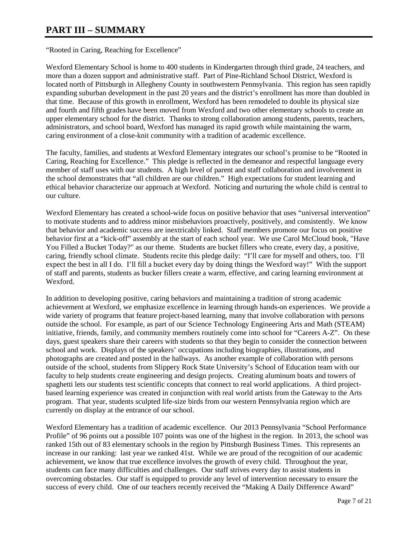### **PART III – SUMMARY**

"Rooted in Caring, Reaching for Excellence"

Wexford Elementary School is home to 400 students in Kindergarten through third grade, 24 teachers, and more than a dozen support and administrative staff. Part of Pine-Richland School District, Wexford is located north of Pittsburgh in Allegheny County in southwestern Pennsylvania. This region has seen rapidly expanding suburban development in the past 20 years and the district's enrollment has more than doubled in that time. Because of this growth in enrollment, Wexford has been remodeled to double its physical size and fourth and fifth grades have been moved from Wexford and two other elementary schools to create an upper elementary school for the district. Thanks to strong collaboration among students, parents, teachers, administrators, and school board, Wexford has managed its rapid growth while maintaining the warm, caring environment of a close-knit community with a tradition of academic excellence.

The faculty, families, and students at Wexford Elementary integrates our school's promise to be "Rooted in Caring, Reaching for Excellence." This pledge is reflected in the demeanor and respectful language every member of staff uses with our students. A high level of parent and staff collaboration and involvement in the school demonstrates that "all children are our children." High expectations for student learning and ethical behavior characterize our approach at Wexford. Noticing and nurturing the whole child is central to our culture.

Wexford Elementary has created a school-wide focus on positive behavior that uses "universal intervention" to motivate students and to address minor misbehaviors proactively, positively, and consistently. We know that behavior and academic success are inextricably linked. Staff members promote our focus on positive behavior first at a "kick-off" assembly at the start of each school year. We use Carol McCloud book, "Have You Filled a Bucket Today?" as our theme. Students are bucket fillers who create, every day, a positive, caring, friendly school climate. Students recite this pledge daily: "I'll care for myself and others, too. I'll expect the best in all I do. I'll fill a bucket every day by doing things the Wexford way!" With the support of staff and parents, students as bucker fillers create a warm, effective, and caring learning environment at Wexford.

In addition to developing positive, caring behaviors and maintaining a tradition of strong academic achievement at Wexford, we emphasize excellence in learning through hands-on experiences. We provide a wide variety of programs that feature project-based learning, many that involve collaboration with persons outside the school. For example, as part of our Science Technology Engineering Arts and Math (STEAM) initiative, friends, family, and community members routinely come into school for "Careers A-Z". On these days, guest speakers share their careers with students so that they begin to consider the connection between school and work. Displays of the speakers' occupations including biographies, illustrations, and photographs are created and posted in the hallways. As another example of collaboration with persons outside of the school, students from Slippery Rock State University's School of Education team with our faculty to help students create engineering and design projects. Creating aluminum boats and towers of spaghetti lets our students test scientific concepts that connect to real world applications. A third projectbased learning experience was created in conjunction with real world artists from the Gateway to the Arts program. That year, students sculpted life-size birds from our western Pennsylvania region which are currently on display at the entrance of our school.

Wexford Elementary has a tradition of academic excellence. Our 2013 Pennsylvania "School Performance Profile" of 96 points out a possible 107 points was one of the highest in the region. In 2013, the school was ranked 15th out of 83 elementary schools in the region by Pittsburgh Business Times. This represents an increase in our ranking: last year we ranked 41st. While we are proud of the recognition of our academic achievement, we know that true excellence involves the growth of every child. Throughout the year, students can face many difficulties and challenges. Our staff strives every day to assist students in overcoming obstacles. Our staff is equipped to provide any level of intervention necessary to ensure the success of every child. One of our teachers recently received the "Making A Daily Difference Award"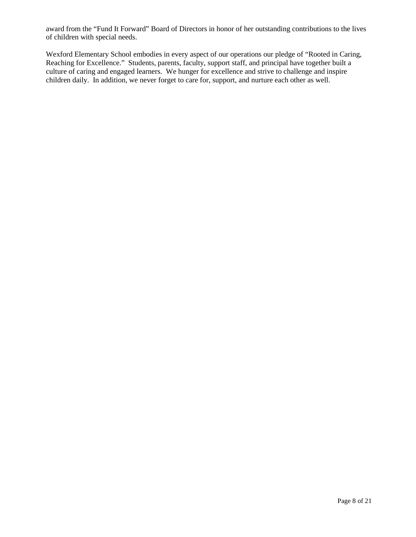award from the "Fund It Forward" Board of Directors in honor of her outstanding contributions to the lives of children with special needs.

Wexford Elementary School embodies in every aspect of our operations our pledge of "Rooted in Caring, Reaching for Excellence." Students, parents, faculty, support staff, and principal have together built a culture of caring and engaged learners. We hunger for excellence and strive to challenge and inspire children daily. In addition, we never forget to care for, support, and nurture each other as well.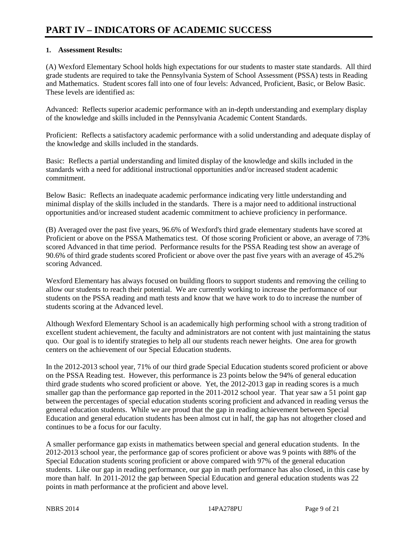#### **1. Assessment Results:**

(A) Wexford Elementary School holds high expectations for our students to master state standards. All third grade students are required to take the Pennsylvania System of School Assessment (PSSA) tests in Reading and Mathematics. Student scores fall into one of four levels: Advanced, Proficient, Basic, or Below Basic. These levels are identified as:

Advanced: Reflects superior academic performance with an in-depth understanding and exemplary display of the knowledge and skills included in the Pennsylvania Academic Content Standards.

Proficient: Reflects a satisfactory academic performance with a solid understanding and adequate display of the knowledge and skills included in the standards.

Basic: Reflects a partial understanding and limited display of the knowledge and skills included in the standards with a need for additional instructional opportunities and/or increased student academic commitment.

Below Basic: Reflects an inadequate academic performance indicating very little understanding and minimal display of the skills included in the standards. There is a major need to additional instructional opportunities and/or increased student academic commitment to achieve proficiency in performance.

(B) Averaged over the past five years, 96.6% of Wexford's third grade elementary students have scored at Proficient or above on the PSSA Mathematics test. Of those scoring Proficient or above, an average of 73% scored Advanced in that time period. Performance results for the PSSA Reading test show an average of 90.6% of third grade students scored Proficient or above over the past five years with an average of 45.2% scoring Advanced.

Wexford Elementary has always focused on building floors to support students and removing the ceiling to allow our students to reach their potential. We are currently working to increase the performance of our students on the PSSA reading and math tests and know that we have work to do to increase the number of students scoring at the Advanced level.

Although Wexford Elementary School is an academically high performing school with a strong tradition of excellent student achievement, the faculty and administrators are not content with just maintaining the status quo. Our goal is to identify strategies to help all our students reach newer heights. One area for growth centers on the achievement of our Special Education students.

In the 2012-2013 school year, 71% of our third grade Special Education students scored proficient or above on the PSSA Reading test. However, this performance is 23 points below the 94% of general education third grade students who scored proficient or above. Yet, the 2012-2013 gap in reading scores is a much smaller gap than the performance gap reported in the 2011-2012 school year. That year saw a 51 point gap between the percentages of special education students scoring proficient and advanced in reading versus the general education students. While we are proud that the gap in reading achievement between Special Education and general education students has been almost cut in half, the gap has not altogether closed and continues to be a focus for our faculty.

A smaller performance gap exists in mathematics between special and general education students. In the 2012-2013 school year, the performance gap of scores proficient or above was 9 points with 88% of the Special Education students scoring proficient or above compared with 97% of the general education students. Like our gap in reading performance, our gap in math performance has also closed, in this case by more than half. In 2011-2012 the gap between Special Education and general education students was 22 points in math performance at the proficient and above level.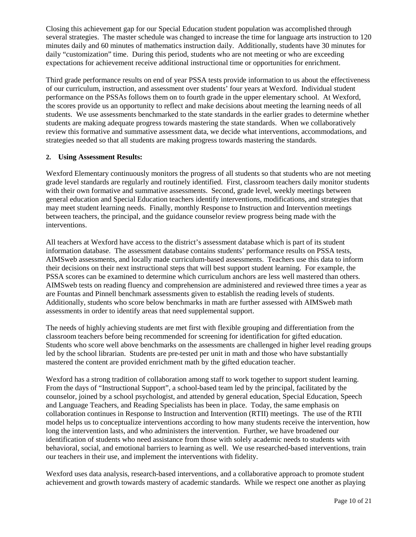Closing this achievement gap for our Special Education student population was accomplished through several strategies. The master schedule was changed to increase the time for language arts instruction to 120 minutes daily and 60 minutes of mathematics instruction daily. Additionally, students have 30 minutes for daily "customization" time. During this period, students who are not meeting or who are exceeding expectations for achievement receive additional instructional time or opportunities for enrichment.

Third grade performance results on end of year PSSA tests provide information to us about the effectiveness of our curriculum, instruction, and assessment over students' four years at Wexford. Individual student performance on the PSSAs follows them on to fourth grade in the upper elementary school. At Wexford, the scores provide us an opportunity to reflect and make decisions about meeting the learning needs of all students. We use assessments benchmarked to the state standards in the earlier grades to determine whether students are making adequate progress towards mastering the state standards. When we collaboratively review this formative and summative assessment data, we decide what interventions, accommodations, and strategies needed so that all students are making progress towards mastering the standards.

#### **2. Using Assessment Results:**

Wexford Elementary continuously monitors the progress of all students so that students who are not meeting grade level standards are regularly and routinely identified. First, classroom teachers daily monitor students with their own formative and summative assessments. Second, grade level, weekly meetings between general education and Special Education teachers identify interventions, modifications, and strategies that may meet student learning needs. Finally, monthly Response to Instruction and Intervention meetings between teachers, the principal, and the guidance counselor review progress being made with the interventions.

All teachers at Wexford have access to the district's assessment database which is part of its student information database. The assessment database contains students' performance results on PSSA tests, AIMSweb assessments, and locally made curriculum-based assessments. Teachers use this data to inform their decisions on their next instructional steps that will best support student learning. For example, the PSSA scores can be examined to determine which curriculum anchors are less well mastered than others. AIMSweb tests on reading fluency and comprehension are administered and reviewed three times a year as are Fountas and Pinnell benchmark assessments given to establish the reading levels of students. Additionally, students who score below benchmarks in math are further assessed with AIMSweb math assessments in order to identify areas that need supplemental support.

The needs of highly achieving students are met first with flexible grouping and differentiation from the classroom teachers before being recommended for screening for identification for gifted education. Students who score well above benchmarks on the assessments are challenged in higher level reading groups led by the school librarian. Students are pre-tested per unit in math and those who have substantially mastered the content are provided enrichment math by the gifted education teacher.

Wexford has a strong tradition of collaboration among staff to work together to support student learning. From the days of "Instructional Support", a school-based team led by the principal, facilitated by the counselor, joined by a school psychologist, and attended by general education, Special Education, Speech and Language Teachers, and Reading Specialists has been in place. Today, the same emphasis on collaboration continues in Response to Instruction and Intervention (RTII) meetings. The use of the RTII model helps us to conceptualize interventions according to how many students receive the intervention, how long the intervention lasts, and who administers the intervention. Further, we have broadened our identification of students who need assistance from those with solely academic needs to students with behavioral, social, and emotional barriers to learning as well. We use researched-based interventions, train our teachers in their use, and implement the interventions with fidelity.

Wexford uses data analysis, research-based interventions, and a collaborative approach to promote student achievement and growth towards mastery of academic standards. While we respect one another as playing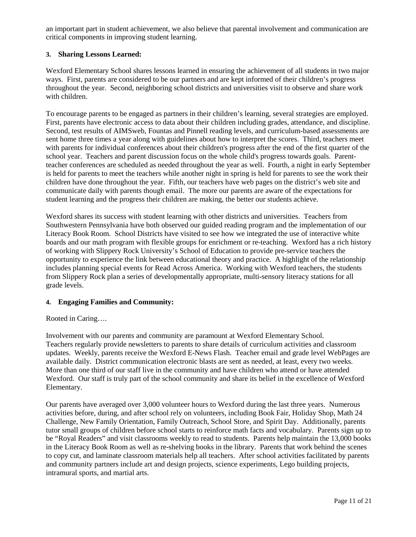an important part in student achievement, we also believe that parental involvement and communication are critical components in improving student learning.

#### **3. Sharing Lessons Learned:**

Wexford Elementary School shares lessons learned in ensuring the achievement of all students in two major ways. First, parents are considered to be our partners and are kept informed of their children's progress throughout the year. Second, neighboring school districts and universities visit to observe and share work with children.

To encourage parents to be engaged as partners in their children's learning, several strategies are employed. First, parents have electronic access to data about their children including grades, attendance, and discipline. Second, test results of AIMSweb, Fountas and Pinnell reading levels, and curriculum-based assessments are sent home three times a year along with guidelines about how to interpret the scores. Third, teachers meet with parents for individual conferences about their children's progress after the end of the first quarter of the school year. Teachers and parent discussion focus on the whole child's progress towards goals. Parentteacher conferences are scheduled as needed throughout the year as well. Fourth, a night in early September is held for parents to meet the teachers while another night in spring is held for parents to see the work their children have done throughout the year. Fifth, our teachers have web pages on the district's web site and communicate daily with parents though email. The more our parents are aware of the expectations for student learning and the progress their children are making, the better our students achieve.

Wexford shares its success with student learning with other districts and universities. Teachers from Southwestern Pennsylvania have both observed our guided reading program and the implementation of our Literacy Book Room. School Districts have visited to see how we integrated the use of interactive white boards and our math program with flexible groups for enrichment or re-teaching. Wexford has a rich history of working with Slippery Rock University's School of Education to provide pre-service teachers the opportunity to experience the link between educational theory and practice. A highlight of the relationship includes planning special events for Read Across America. Working with Wexford teachers, the students from Slippery Rock plan a series of developmentally appropriate, multi-sensory literacy stations for all grade levels.

### **4. Engaging Families and Community:**

#### Rooted in Caring….

Involvement with our parents and community are paramount at Wexford Elementary School. Teachers regularly provide newsletters to parents to share details of curriculum activities and classroom updates. Weekly, parents receive the Wexford E-News Flash. Teacher email and grade level WebPages are available daily. District communication electronic blasts are sent as needed, at least, every two weeks. More than one third of our staff live in the community and have children who attend or have attended Wexford. Our staff is truly part of the school community and share its belief in the excellence of Wexford Elementary.

Our parents have averaged over 3,000 volunteer hours to Wexford during the last three years. Numerous activities before, during, and after school rely on volunteers, including Book Fair, Holiday Shop, Math 24 Challenge, New Family Orientation, Family Outreach, School Store, and Spirit Day. Additionally, parents tutor small groups of children before school starts to reinforce math facts and vocabulary. Parents sign up to be "Royal Readers" and visit classrooms weekly to read to students. Parents help maintain the 13,000 books in the Literacy Book Room as well as re-shelving books in the library. Parents that work behind the scenes to copy cut, and laminate classroom materials help all teachers. After school activities facilitated by parents and community partners include art and design projects, science experiments, Lego building projects, intramural sports, and martial arts.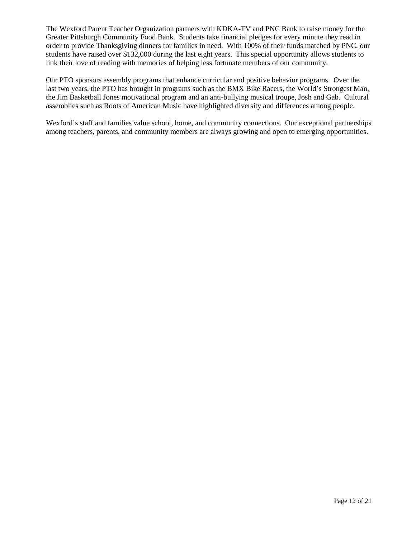The Wexford Parent Teacher Organization partners with KDKA-TV and PNC Bank to raise money for the Greater Pittsburgh Community Food Bank. Students take financial pledges for every minute they read in order to provide Thanksgiving dinners for families in need. With 100% of their funds matched by PNC, our students have raised over \$132,000 during the last eight years. This special opportunity allows students to link their love of reading with memories of helping less fortunate members of our community.

Our PTO sponsors assembly programs that enhance curricular and positive behavior programs. Over the last two years, the PTO has brought in programs such as the BMX Bike Racers, the World's Strongest Man, the Jim Basketball Jones motivational program and an anti-bullying musical troupe, Josh and Gab. Cultural assemblies such as Roots of American Music have highlighted diversity and differences among people.

Wexford's staff and families value school, home, and community connections. Our exceptional partnerships among teachers, parents, and community members are always growing and open to emerging opportunities.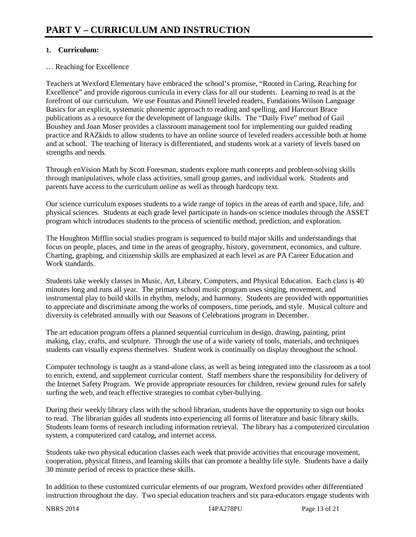#### **1. Curriculum:**

#### … Reaching for Excellence

Teachers at Wexford Elementary have embraced the school's promise, "Rooted in Caring, Reaching for Excellence" and provide rigorous curricula in every class for all our students. Learning to read is at the forefront of our curriculum. We use Fountas and Pinnell leveled readers, Fundations Wilson Language Basics for an explicit, systematic phonemic approach to reading and spelling, and Harcourt Brace publications as a resource for the development of language skills. The "Daily Five" method of Gail Boushey and Joan Moser provides a classroom management tool for implementing our guided reading practice and RAZkids to allow students to have an online source of leveled readers accessible both at home and at school. The teaching of literacy is differentiated, and students work at a variety of levels based on strengths and needs.

Through enVision Math by Scott Foresman, students explore math concepts and problem-solving skills through manipulatives, whole class activities, small group games, and individual work. Students and parents have access to the curriculum online as well as through hardcopy text.

Our science curriculum exposes students to a wide range of topics in the areas of earth and space, life, and physical sciences. Students at each grade level participate in hands-on science modules through the ASSET program which introduces students to the process of scientific method, prediction, and exploration.

The Houghton Mifflin social studies program is sequenced to build major skills and understandings that focus on people, places, and time in the areas of geography, history, government, economics, and culture. Charting, graphing, and citizenship skills are emphasized at each level as are PA Career Education and Work standards.

Students take weekly classes in Music, Art, Library, Computers, and Physical Education. Each class is 40 minutes long and runs all year. The primary school music program uses singing, movement, and instrumental play to build skills in rhythm, melody, and harmony. Students are provided with opportunities to appreciate and discriminate among the works of composers, time periods, and style. Musical culture and diversity is celebrated annually with our Seasons of Celebrations program in December.

The art education program offers a planned sequential curriculum in design, drawing, painting, print making, clay, crafts, and sculpture. Through the use of a wide variety of tools, materials, and techniques students can visually express themselves. Student work is continually on display throughout the school.

Computer technology is taught as a stand-alone class, as well as being integrated into the classroom as a tool to enrich, extend, and supplement curricular content. Staff members share the responsibility for delivery of the Internet Safety Program. We provide appropriate resources for children, review ground rules for safely surfing the web, and teach effective strategies to combat cyber-bullying.

During their weekly library class with the school librarian, students have the opportunity to sign out books to read. The librarian guides all students into experiencing all forms of literature and basic library skills. Students learn forms of research including information retrieval. The library has a computerized circulation system, a computerized card catalog, and internet access.

Students take two physical education classes each week that provide activities that encourage movement, cooperation, physical fitness, and learning skills that can promote a healthy life style. Students have a daily 30 minute period of recess to practice these skills.

In addition to these customized curricular elements of our program, Wexford provides other differentiated instruction throughout the day. Two special education teachers and six para-educators engage students with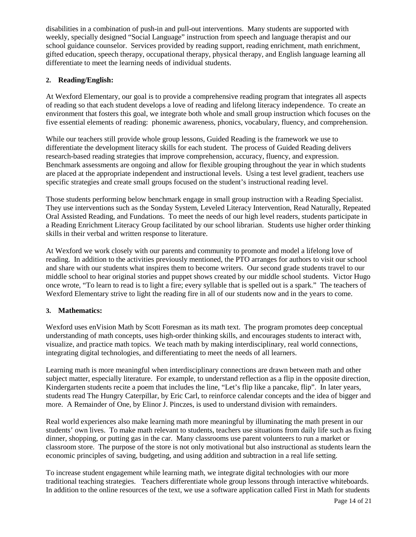disabilities in a combination of push-in and pull-out interventions. Many students are supported with weekly, specially designed "Social Language" instruction from speech and language therapist and our school guidance counselor. Services provided by reading support, reading enrichment, math enrichment, gifted education, speech therapy, occupational therapy, physical therapy, and English language learning all differentiate to meet the learning needs of individual students.

#### **2. Reading/English:**

At Wexford Elementary, our goal is to provide a comprehensive reading program that integrates all aspects of reading so that each student develops a love of reading and lifelong literacy independence. To create an environment that fosters this goal, we integrate both whole and small group instruction which focuses on the five essential elements of reading: phonemic awareness, phonics, vocabulary, fluency, and comprehension.

While our teachers still provide whole group lessons, Guided Reading is the framework we use to differentiate the development literacy skills for each student. The process of Guided Reading delivers research-based reading strategies that improve comprehension, accuracy, fluency, and expression. Benchmark assessments are ongoing and allow for flexible grouping throughout the year in which students are placed at the appropriate independent and instructional levels. Using a test level gradient, teachers use specific strategies and create small groups focused on the student's instructional reading level.

Those students performing below benchmark engage in small group instruction with a Reading Specialist. They use interventions such as the Sonday System, Leveled Literacy Intervention, Read Naturally, Repeated Oral Assisted Reading, and Fundations. To meet the needs of our high level readers, students participate in a Reading Enrichment Literacy Group facilitated by our school librarian. Students use higher order thinking skills in their verbal and written response to literature.

At Wexford we work closely with our parents and community to promote and model a lifelong love of reading. In addition to the activities previously mentioned, the PTO arranges for authors to visit our school and share with our students what inspires them to become writers. Our second grade students travel to our middle school to hear original stories and puppet shows created by our middle school students. Victor Hugo once wrote, "To learn to read is to light a fire; every syllable that is spelled out is a spark." The teachers of Wexford Elementary strive to light the reading fire in all of our students now and in the years to come.

#### **3. Mathematics:**

Wexford uses enVision Math by Scott Foresman as its math text. The program promotes deep conceptual understanding of math concepts, uses high-order thinking skills, and encourages students to interact with, visualize, and practice math topics. We teach math by making interdisciplinary, real world connections, integrating digital technologies, and differentiating to meet the needs of all learners.

Learning math is more meaningful when interdisciplinary connections are drawn between math and other subject matter, especially literature. For example, to understand reflection as a flip in the opposite direction, Kindergarten students recite a poem that includes the line, "Let's flip like a pancake, flip". In later years, students read The Hungry Caterpillar, by Eric Carl, to reinforce calendar concepts and the idea of bigger and more. A Remainder of One, by Elinor J. Pinczes, is used to understand division with remainders.

Real world experiences also make learning math more meaningful by illuminating the math present in our students' own lives. To make math relevant to students, teachers use situations from daily life such as fixing dinner, shopping, or putting gas in the car. Many classrooms use parent volunteers to run a market or classroom store. The purpose of the store is not only motivational but also instructional as students learn the economic principles of saving, budgeting, and using addition and subtraction in a real life setting.

To increase student engagement while learning math, we integrate digital technologies with our more traditional teaching strategies. Teachers differentiate whole group lessons through interactive whiteboards. In addition to the online resources of the text, we use a software application called First in Math for students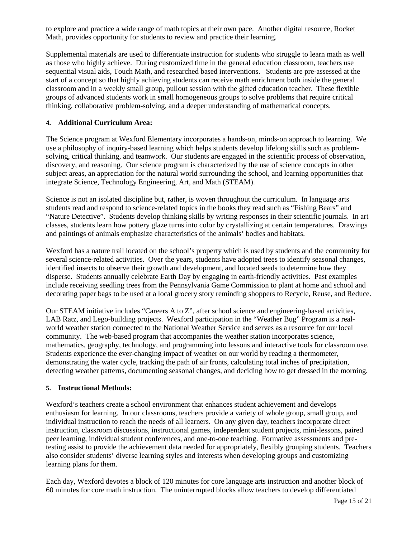to explore and practice a wide range of math topics at their own pace. Another digital resource, Rocket Math, provides opportunity for students to review and practice their learning.

Supplemental materials are used to differentiate instruction for students who struggle to learn math as well as those who highly achieve. During customized time in the general education classroom, teachers use sequential visual aids, Touch Math, and researched based interventions. Students are pre-assessed at the start of a concept so that highly achieving students can receive math enrichment both inside the general classroom and in a weekly small group, pullout session with the gifted education teacher. These flexible groups of advanced students work in small homogeneous groups to solve problems that require critical thinking, collaborative problem-solving, and a deeper understanding of mathematical concepts.

#### **4. Additional Curriculum Area:**

The Science program at Wexford Elementary incorporates a hands-on, minds-on approach to learning. We use a philosophy of inquiry-based learning which helps students develop lifelong skills such as problemsolving, critical thinking, and teamwork. Our students are engaged in the scientific process of observation, discovery, and reasoning. Our science program is characterized by the use of science concepts in other subject areas, an appreciation for the natural world surrounding the school, and learning opportunities that integrate Science, Technology Engineering, Art, and Math (STEAM).

Science is not an isolated discipline but, rather, is woven throughout the curriculum. In language arts students read and respond to science-related topics in the books they read such as "Fishing Bears" and "Nature Detective". Students develop thinking skills by writing responses in their scientific journals. In art classes, students learn how pottery glaze turns into color by crystallizing at certain temperatures. Drawings and paintings of animals emphasize characteristics of the animals' bodies and habitats.

Wexford has a nature trail located on the school's property which is used by students and the community for several science-related activities. Over the years, students have adopted trees to identify seasonal changes, identified insects to observe their growth and development, and located seeds to determine how they disperse. Students annually celebrate Earth Day by engaging in earth-friendly activities. Past examples include receiving seedling trees from the Pennsylvania Game Commission to plant at home and school and decorating paper bags to be used at a local grocery story reminding shoppers to Recycle, Reuse, and Reduce.

Our STEAM initiative includes "Careers A to Z", after school science and engineering-based activities, LAB Ratz, and Lego-building projects. Wexford participation in the "Weather Bug" Program is a realworld weather station connected to the National Weather Service and serves as a resource for our local community. The web-based program that accompanies the weather station incorporates science, mathematics, geography, technology, and programming into lessons and interactive tools for classroom use. Students experience the ever-changing impact of weather on our world by reading a thermometer, demonstrating the water cycle, tracking the path of air fronts, calculating total inches of precipitation, detecting weather patterns, documenting seasonal changes, and deciding how to get dressed in the morning.

#### **5. Instructional Methods:**

Wexford's teachers create a school environment that enhances student achievement and develops enthusiasm for learning. In our classrooms, teachers provide a variety of whole group, small group, and individual instruction to reach the needs of all learners. On any given day, teachers incorporate direct instruction, classroom discussions, instructional games, independent student projects, mini-lessons, paired peer learning, individual student conferences, and one-to-one teaching. Formative assessments and pretesting assist to provide the achievement data needed for appropriately, flexibly grouping students. Teachers also consider students' diverse learning styles and interests when developing groups and customizing learning plans for them.

Each day, Wexford devotes a block of 120 minutes for core language arts instruction and another block of 60 minutes for core math instruction. The uninterrupted blocks allow teachers to develop differentiated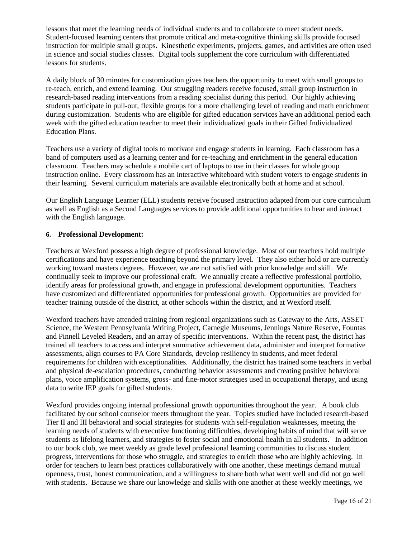lessons that meet the learning needs of individual students and to collaborate to meet student needs. Student-focused learning centers that promote critical and meta-cognitive thinking skills provide focused instruction for multiple small groups. Kinesthetic experiments, projects, games, and activities are often used in science and social studies classes. Digital tools supplement the core curriculum with differentiated lessons for students.

A daily block of 30 minutes for customization gives teachers the opportunity to meet with small groups to re-teach, enrich, and extend learning. Our struggling readers receive focused, small group instruction in research-based reading interventions from a reading specialist during this period. Our highly achieving students participate in pull-out, flexible groups for a more challenging level of reading and math enrichment during customization. Students who are eligible for gifted education services have an additional period each week with the gifted education teacher to meet their individualized goals in their Gifted Individualized Education Plans.

Teachers use a variety of digital tools to motivate and engage students in learning. Each classroom has a band of computers used as a learning center and for re-teaching and enrichment in the general education classroom. Teachers may schedule a mobile cart of laptops to use in their classes for whole group instruction online. Every classroom has an interactive whiteboard with student voters to engage students in their learning. Several curriculum materials are available electronically both at home and at school.

Our English Language Learner (ELL) students receive focused instruction adapted from our core curriculum as well as English as a Second Languages services to provide additional opportunities to hear and interact with the English language.

#### **6. Professional Development:**

Teachers at Wexford possess a high degree of professional knowledge. Most of our teachers hold multiple certifications and have experience teaching beyond the primary level. They also either hold or are currently working toward masters degrees. However, we are not satisfied with prior knowledge and skill. We continually seek to improve our professional craft. We annually create a reflective professional portfolio, identify areas for professional growth, and engage in professional development opportunities. Teachers have customized and differentiated opportunities for professional growth. Opportunities are provided for teacher training outside of the district, at other schools within the district, and at Wexford itself.

Wexford teachers have attended training from regional organizations such as Gateway to the Arts, ASSET Science, the Western Pennsylvania Writing Project, Carnegie Museums, Jennings Nature Reserve, Fountas and Pinnell Leveled Readers, and an array of specific interventions. Within the recent past, the district has trained all teachers to access and interpret summative achievement data, administer and interpret formative assessments, align courses to PA Core Standards, develop resiliency in students, and meet federal requirements for children with exceptionalities. Additionally, the district has trained some teachers in verbal and physical de-escalation procedures, conducting behavior assessments and creating positive behavioral plans, voice amplification systems, gross- and fine-motor strategies used in occupational therapy, and using data to write IEP goals for gifted students.

Wexford provides ongoing internal professional growth opportunities throughout the year. A book club facilitated by our school counselor meets throughout the year. Topics studied have included research-based Tier II and III behavioral and social strategies for students with self-regulation weaknesses, meeting the learning needs of students with executive functioning difficulties, developing habits of mind that will serve students as lifelong learners, and strategies to foster social and emotional health in all students. In addition to our book club, we meet weekly as grade level professional learning communities to discuss student progress, interventions for those who struggle, and strategies to enrich those who are highly achieving. In order for teachers to learn best practices collaboratively with one another, these meetings demand mutual openness, trust, honest communication, and a willingness to share both what went well and did not go well with students. Because we share our knowledge and skills with one another at these weekly meetings, we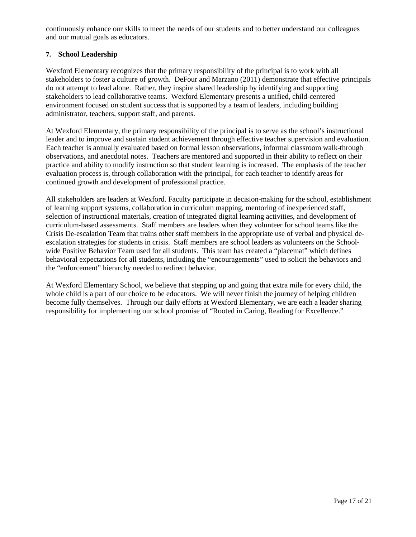continuously enhance our skills to meet the needs of our students and to better understand our colleagues and our mutual goals as educators.

#### **7. School Leadership**

Wexford Elementary recognizes that the primary responsibility of the principal is to work with all stakeholders to foster a culture of growth. DeFour and Marzano (2011) demonstrate that effective principals do not attempt to lead alone. Rather, they inspire shared leadership by identifying and supporting stakeholders to lead collaborative teams. Wexford Elementary presents a unified, child-centered environment focused on student success that is supported by a team of leaders, including building administrator, teachers, support staff, and parents.

At Wexford Elementary, the primary responsibility of the principal is to serve as the school's instructional leader and to improve and sustain student achievement through effective teacher supervision and evaluation. Each teacher is annually evaluated based on formal lesson observations, informal classroom walk-through observations, and anecdotal notes. Teachers are mentored and supported in their ability to reflect on their practice and ability to modify instruction so that student learning is increased. The emphasis of the teacher evaluation process is, through collaboration with the principal, for each teacher to identify areas for continued growth and development of professional practice.

All stakeholders are leaders at Wexford. Faculty participate in decision-making for the school, establishment of learning support systems, collaboration in curriculum mapping, mentoring of inexperienced staff, selection of instructional materials, creation of integrated digital learning activities, and development of curriculum-based assessments. Staff members are leaders when they volunteer for school teams like the Crisis De-escalation Team that trains other staff members in the appropriate use of verbal and physical deescalation strategies for students in crisis. Staff members are school leaders as volunteers on the Schoolwide Positive Behavior Team used for all students. This team has created a "placemat" which defines behavioral expectations for all students, including the "encouragements" used to solicit the behaviors and the "enforcement" hierarchy needed to redirect behavior.

At Wexford Elementary School, we believe that stepping up and going that extra mile for every child, the whole child is a part of our choice to be educators. We will never finish the journey of helping children become fully themselves. Through our daily efforts at Wexford Elementary, we are each a leader sharing responsibility for implementing our school promise of "Rooted in Caring, Reading for Excellence."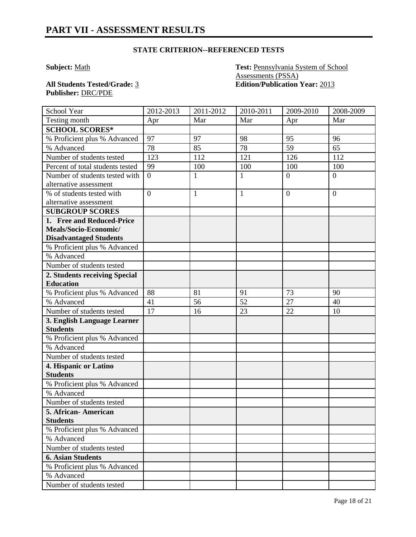### **STATE CRITERION--REFERENCED TESTS**

**Subject:** Math **Test:** Pennsylvania System of School Assessments (PSSA) **All Students Tested/Grade:** 3 **Edition/Publication Year:** 2013

**Publisher:** DRC/PDE

| School Year                      | 2012-2013      | $2011 - 2012$ | $2010 - 2011$ | 2009-2010      | 2008-2009      |
|----------------------------------|----------------|---------------|---------------|----------------|----------------|
| Testing month                    | Apr            | Mar           | Mar           | Apr            | Mar            |
| <b>SCHOOL SCORES*</b>            |                |               |               |                |                |
| % Proficient plus % Advanced     | 97             | 97            | 98            | 95             | 96             |
| % Advanced                       | 78             | 85            | 78            | 59             | 65             |
| Number of students tested        | 123            | 112           | 121           | 126            | 112            |
| Percent of total students tested | 99             | 100           | 100           | 100            | 100            |
| Number of students tested with   | $\overline{0}$ | $\mathbf{1}$  | 1             | $\overline{0}$ | $\overline{0}$ |
| alternative assessment           |                |               |               |                |                |
| % of students tested with        | $\overline{0}$ | $\mathbf{1}$  | $\mathbf{1}$  | $\overline{0}$ | $\overline{0}$ |
| alternative assessment           |                |               |               |                |                |
| <b>SUBGROUP SCORES</b>           |                |               |               |                |                |
| 1. Free and Reduced-Price        |                |               |               |                |                |
| Meals/Socio-Economic/            |                |               |               |                |                |
| <b>Disadvantaged Students</b>    |                |               |               |                |                |
| % Proficient plus % Advanced     |                |               |               |                |                |
| % Advanced                       |                |               |               |                |                |
| Number of students tested        |                |               |               |                |                |
| 2. Students receiving Special    |                |               |               |                |                |
| <b>Education</b>                 |                |               |               |                |                |
| % Proficient plus % Advanced     | 88             | 81            | 91            | 73             | 90             |
| % Advanced                       | 41             | 56            | 52            | 27             | 40             |
| Number of students tested        | 17             | 16            | 23            | 22             | 10             |
| 3. English Language Learner      |                |               |               |                |                |
| <b>Students</b>                  |                |               |               |                |                |
| % Proficient plus % Advanced     |                |               |               |                |                |
| % Advanced                       |                |               |               |                |                |
| Number of students tested        |                |               |               |                |                |
| 4. Hispanic or Latino            |                |               |               |                |                |
| <b>Students</b>                  |                |               |               |                |                |
| % Proficient plus % Advanced     |                |               |               |                |                |
| % Advanced                       |                |               |               |                |                |
| Number of students tested        |                |               |               |                |                |
| 5. African- American             |                |               |               |                |                |
| <b>Students</b>                  |                |               |               |                |                |
| % Proficient plus % Advanced     |                |               |               |                |                |
| % Advanced                       |                |               |               |                |                |
| Number of students tested        |                |               |               |                |                |
| <b>6. Asian Students</b>         |                |               |               |                |                |
| % Proficient plus % Advanced     |                |               |               |                |                |
| % Advanced                       |                |               |               |                |                |
| Number of students tested        |                |               |               |                |                |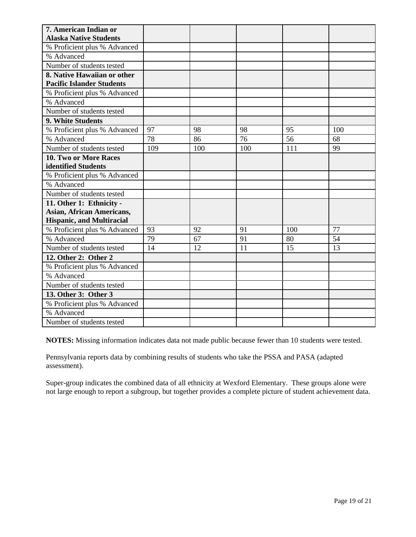| 7. American Indian or<br><b>Alaska Native Students</b> |     |     |     |     |     |
|--------------------------------------------------------|-----|-----|-----|-----|-----|
| % Proficient plus % Advanced                           |     |     |     |     |     |
| % Advanced                                             |     |     |     |     |     |
| Number of students tested                              |     |     |     |     |     |
| 8. Native Hawaiian or other                            |     |     |     |     |     |
| <b>Pacific Islander Students</b>                       |     |     |     |     |     |
| % Proficient plus % Advanced                           |     |     |     |     |     |
| % Advanced                                             |     |     |     |     |     |
| Number of students tested                              |     |     |     |     |     |
| 9. White Students                                      |     |     |     |     |     |
| % Proficient plus % Advanced                           | 97  | 98  | 98  | 95  | 100 |
| % Advanced                                             | 78  | 86  | 76  | 56  | 68  |
| Number of students tested                              | 109 | 100 | 100 | 111 | 99  |
| <b>10. Two or More Races</b>                           |     |     |     |     |     |
| identified Students                                    |     |     |     |     |     |
| % Proficient plus % Advanced                           |     |     |     |     |     |
| % Advanced                                             |     |     |     |     |     |
| Number of students tested                              |     |     |     |     |     |
| 11. Other 1: Ethnicity -                               |     |     |     |     |     |
| <b>Asian, African Americans,</b>                       |     |     |     |     |     |
| <b>Hispanic, and Multiracial</b>                       |     |     |     |     |     |
| % Proficient plus % Advanced                           | 93  | 92  | 91  | 100 | 77  |
| % Advanced                                             | 79  | 67  | 91  | 80  | 54  |
| Number of students tested                              | 14  | 12  | 11  | 15  | 13  |
| 12. Other 2: Other 2                                   |     |     |     |     |     |
| % Proficient plus % Advanced                           |     |     |     |     |     |
| % Advanced                                             |     |     |     |     |     |
| Number of students tested                              |     |     |     |     |     |
| 13. Other 3: Other 3                                   |     |     |     |     |     |
| % Proficient plus % Advanced                           |     |     |     |     |     |
| % Advanced                                             |     |     |     |     |     |
| Number of students tested                              |     |     |     |     |     |

**NOTES:** Missing information indicates data not made public because fewer than 10 students were tested.

Pennsylvania reports data by combining results of students who take the PSSA and PASA (adapted assessment).

Super-group indicates the combined data of all ethnicity at Wexford Elementary. These groups alone were not large enough to report a subgroup, but together provides a complete picture of student achievement data.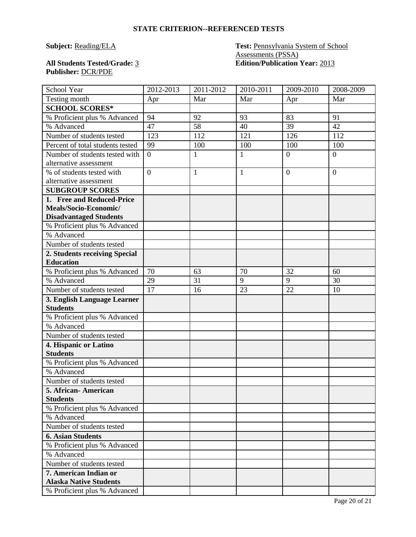#### **STATE CRITERION--REFERENCED TESTS**

# **Publisher:** DCR/PDE

**Subject: Reading/ELA Test: Pennsylvania System of School** Assessments (PSSA) **All Students Tested/Grade:** 3 **Edition/Publication Year:** 2013

| School Year                      | 2012-2013      | 2011-2012    | 2010-2011 | 2009-2010      | 2008-2009        |
|----------------------------------|----------------|--------------|-----------|----------------|------------------|
| Testing month                    | Apr            | Mar          | Mar       | Apr            | Mar              |
| <b>SCHOOL SCORES*</b>            |                |              |           |                |                  |
| % Proficient plus % Advanced     | 94             | 92           | 93        | 83             | 91               |
| % Advanced                       | 47             | 58           | 40        | 39             | 42               |
| Number of students tested        | 123            | 112          | 121       | 126            | 112              |
| Percent of total students tested | 99             | 100          | 100       | 100            | 100              |
| Number of students tested with   | $\overline{0}$ | $\mathbf{1}$ | 1         | $\theta$       | $\boldsymbol{0}$ |
| alternative assessment           |                |              |           |                |                  |
| % of students tested with        | $\overline{0}$ | $\mathbf{1}$ | 1         | $\overline{0}$ | $\overline{0}$   |
| alternative assessment           |                |              |           |                |                  |
| <b>SUBGROUP SCORES</b>           |                |              |           |                |                  |
| 1. Free and Reduced-Price        |                |              |           |                |                  |
| Meals/Socio-Economic/            |                |              |           |                |                  |
| <b>Disadvantaged Students</b>    |                |              |           |                |                  |
| % Proficient plus % Advanced     |                |              |           |                |                  |
| % Advanced                       |                |              |           |                |                  |
| Number of students tested        |                |              |           |                |                  |
| 2. Students receiving Special    |                |              |           |                |                  |
| <b>Education</b>                 |                |              |           |                |                  |
| % Proficient plus % Advanced     | 70             | 63           | 70        | 32             | 60               |
| % Advanced                       | 29             | 31           | 9         | 9              | 30               |
| Number of students tested        | 17             | 16           | 23        | 22             | 10               |
| 3. English Language Learner      |                |              |           |                |                  |
| <b>Students</b>                  |                |              |           |                |                  |
| % Proficient plus % Advanced     |                |              |           |                |                  |
| % Advanced                       |                |              |           |                |                  |
| Number of students tested        |                |              |           |                |                  |
| 4. Hispanic or Latino            |                |              |           |                |                  |
| <b>Students</b>                  |                |              |           |                |                  |
| % Proficient plus % Advanced     |                |              |           |                |                  |
| $\overline{\%}$ Advanced         |                |              |           |                |                  |
| Number of students tested        |                |              |           |                |                  |
| 5. African- American             |                |              |           |                |                  |
| <b>Students</b>                  |                |              |           |                |                  |
| % Proficient plus % Advanced     |                |              |           |                |                  |
| % Advanced                       |                |              |           |                |                  |
| Number of students tested        |                |              |           |                |                  |
| <b>6. Asian Students</b>         |                |              |           |                |                  |
| % Proficient plus % Advanced     |                |              |           |                |                  |
| % Advanced                       |                |              |           |                |                  |
| Number of students tested        |                |              |           |                |                  |
| 7. American Indian or            |                |              |           |                |                  |
| <b>Alaska Native Students</b>    |                |              |           |                |                  |
| % Proficient plus % Advanced     |                |              |           |                |                  |